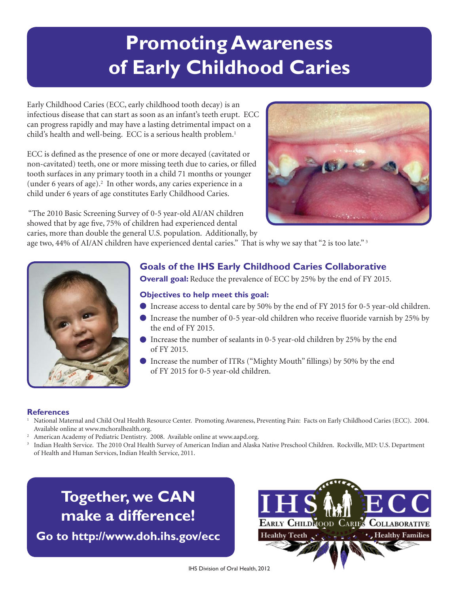# **Promoting Awareness of Early Childhood Caries**

Early Childhood Caries (ECC, early childhood tooth decay) is an infectious disease that can start as soon as an infant's teeth erupt. ECC can progress rapidly and may have a lasting detrimental impact on a child's health and well-being. ECC is a serious health problem.<sup>1</sup>

ECC is defined as the presence of one or more decayed (cavitated or non-cavitated) teeth, one or more missing teeth due to caries, or filled tooth surfaces in any primary tooth in a child 71 months or younger (under 6 years of age).<sup>2</sup> In other words, any caries experience in a child under 6 years of age constitutes Early Childhood Caries.

 caries, more than double the general U.S. population. Additionally, by "The 2010 Basic Screening Survey of 0-5 year-old AI/AN children showed that by age five, 75% of children had experienced dental

age two, 44% of AI/AN children have experienced dental caries." That is why we say that "2 is too late."<sup>3</sup>



### **Goals of the IHS Early Childhood Caries Collaborative**

**Overall goal:** Reduce the prevalence of ECC by 25% by the end of FY 2015.

#### **Objectives to help meet this goal:**

- Increase access to dental care by 50% by the end of FY 2015 for 0-5 year-old children.
- the end of FY 2015.  $\bullet$  Increase the number of 0-5 year-old children who receive fluoride varnish by 25% by
- of FY 2015. Increase the number of sealants in 0-5 year-old children by 25% by the end
- Increase the number of ITRs ("Mighty Mouth" fillings) by 50% by the end of FY 2015 for 0-5 year-old children.

#### **References**

- <sup>1</sup> National Maternal and Child Oral Health Resource Center. Promoting Awareness, Preventing Pain: Facts on Early Childhood Caries (ECC). 2004. Available online at www.mchoralhealth.org.<br><sup>2</sup> American Academy of Pediatric Dentistry. 2008. Available online at www.aapd.org.<br><sup>3</sup> Indian Health Service. The 2010 Oral Health Survey of American Indian and Alaska Native Pr
- American Academy of Pediatric Dentistry. 2008. Available online at www.aapd.org.
- of Health and Human Services, Indian Health Service, 2011.

## **Together, we CAN make a difference!**

**Go to http://www.doh.ihs.gov/ecc** 



IHS Division of Oral Health, 2012